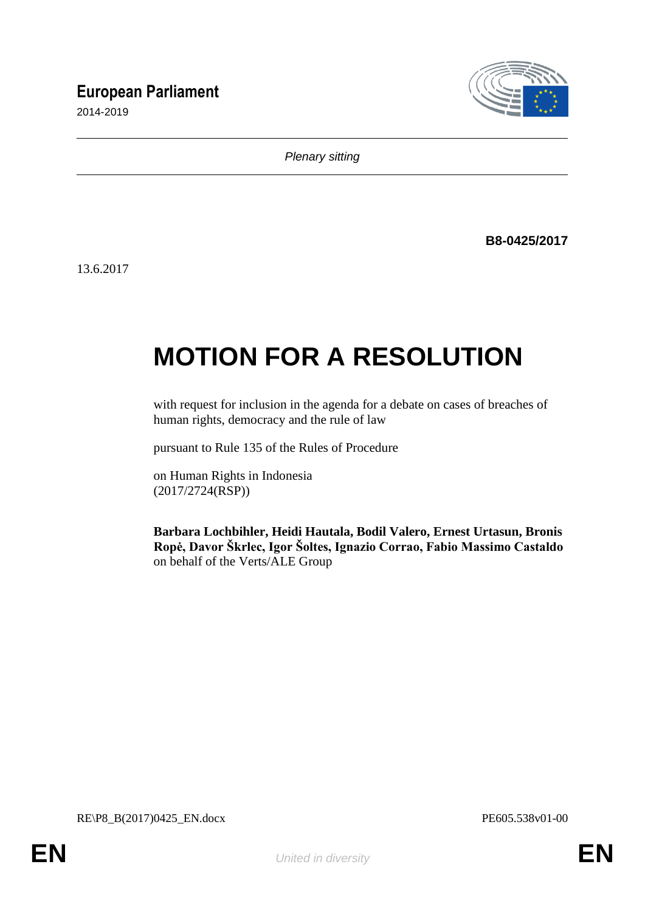# **European Parliament**

2014-2019



*Plenary sitting*

**B8-0425/2017**

13.6.2017

# **MOTION FOR A RESOLUTION**

with request for inclusion in the agenda for a debate on cases of breaches of human rights, democracy and the rule of law

pursuant to Rule 135 of the Rules of Procedure

on Human Rights in Indonesia (2017/2724(RSP))

**Barbara Lochbihler, Heidi Hautala, Bodil Valero, Ernest Urtasun, Bronis Ropė, Davor Škrlec, Igor Šoltes, Ignazio Corrao, Fabio Massimo Castaldo** on behalf of the Verts/ALE Group

RE\P8\_B(2017)0425\_EN.docx PE605.538v01-00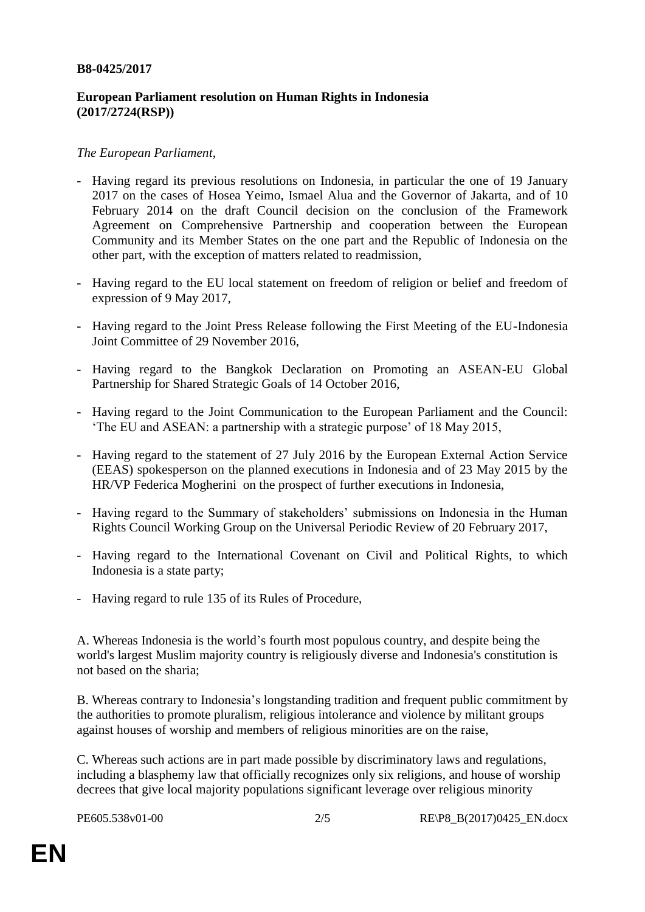#### **B8-0425/2017**

## **European Parliament resolution on Human Rights in Indonesia (2017/2724(RSP))**

### *The European Parliament*,

- Having regard its previous resolutions on Indonesia, in particular the one of 19 January 2017 on the cases of Hosea Yeimo, Ismael Alua and the Governor of Jakarta, and of 10 February 2014 on the draft Council decision on the conclusion of the Framework Agreement on Comprehensive Partnership and cooperation between the European Community and its Member States on the one part and the Republic of Indonesia on the other part, with the exception of matters related to readmission,
- Having regard to the EU local statement on freedom of religion or belief and freedom of expression of 9 May 2017,
- Having regard to the Joint Press Release following the First Meeting of the EU-Indonesia Joint Committee of 29 November 2016,
- Having regard to the Bangkok Declaration on Promoting an ASEAN-EU Global Partnership for Shared Strategic Goals of 14 October 2016,
- Having regard to the Joint Communication to the European Parliament and the Council: 'The EU and ASEAN: a partnership with a strategic purpose' of 18 May 2015,
- Having regard to the statement of 27 July 2016 by the European External Action Service (EEAS) spokesperson on the planned executions in Indonesia and of 23 May 2015 by the HR/VP Federica Mogherini on the prospect of further executions in Indonesia,
- Having regard to the Summary of stakeholders' submissions on Indonesia in the Human Rights Council Working Group on the Universal Periodic Review of 20 February 2017,
- Having regard to the International Covenant on Civil and Political Rights, to which Indonesia is a state party;
- Having regard to rule 135 of its Rules of Procedure,

A. Whereas Indonesia is the world's fourth most populous country, and despite being the world's largest Muslim majority country is religiously diverse and Indonesia's constitution is not based on the sharia;

B. Whereas contrary to Indonesia's longstanding tradition and frequent public commitment by the authorities to promote pluralism, religious intolerance and violence by militant groups against houses of worship and members of religious minorities are on the raise,

C. Whereas such actions are in part made possible by discriminatory laws and regulations, including a blasphemy law that officially recognizes only six religions, and house of worship decrees that give local majority populations significant leverage over religious minority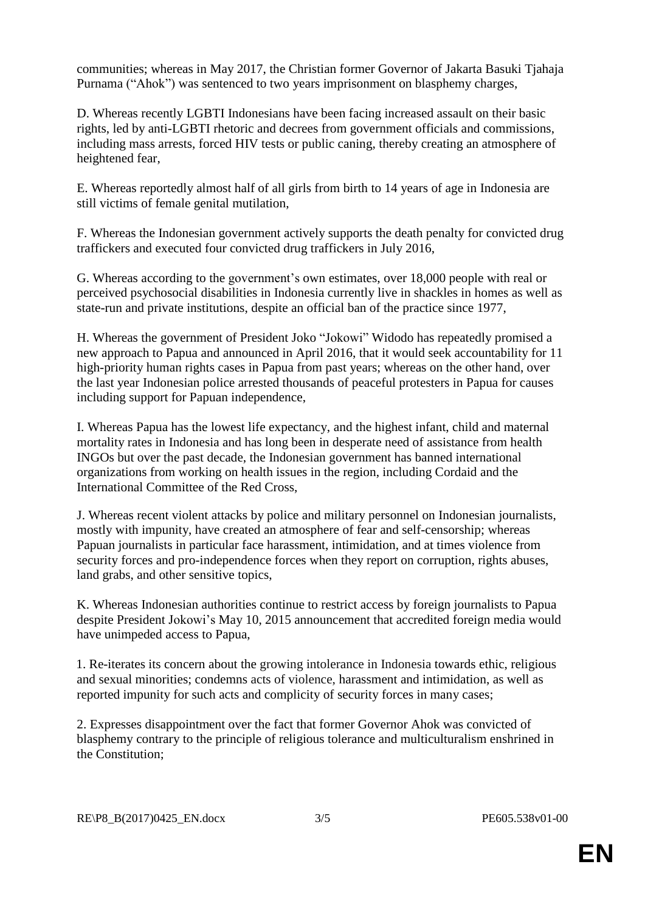communities; whereas in May 2017, the Christian former Governor of Jakarta Basuki Tjahaja Purnama ("Ahok") was sentenced to two years imprisonment on blasphemy charges,

D. Whereas recently LGBTI Indonesians have been facing increased assault on their basic rights, led by anti-LGBTI rhetoric and decrees from government officials and commissions, including mass arrests, forced HIV tests or public caning, thereby creating an atmosphere of heightened fear,

E. Whereas reportedly almost half of all girls from birth to 14 years of age in Indonesia are still victims of female genital mutilation,

F. Whereas the Indonesian government actively supports the death penalty for convicted drug traffickers and executed four convicted drug traffickers in July 2016,

G. Whereas according to the government's own estimates, over 18,000 people with real or perceived psychosocial disabilities in Indonesia currently live in shackles in homes as well as state-run and private institutions, despite an official ban of the practice since 1977,

H. Whereas the government of President Joko "Jokowi" Widodo has repeatedly promised a new approach to Papua and announced in April 2016, that it would seek accountability for 11 high-priority human rights cases in Papua from past years; whereas on the other hand, over the last year Indonesian police arrested thousands of peaceful protesters in Papua for causes including support for Papuan independence,

I. Whereas Papua has the lowest life expectancy, and the highest infant, child and maternal mortality rates in Indonesia and has long been in desperate need of assistance from health INGOs but over the past decade, the Indonesian government has banned international organizations from working on health issues in the region, including Cordaid and the International Committee of the Red Cross,

J. Whereas recent violent attacks by police and military personnel on Indonesian journalists, mostly with impunity, have created an atmosphere of fear and self-censorship; whereas Papuan journalists in particular face harassment, intimidation, and at times violence from security forces and pro-independence forces when they report on corruption, rights abuses, land grabs, and other sensitive topics,

K. Whereas Indonesian authorities continue to restrict access by foreign journalists to Papua despite President Jokowi's May 10, 2015 announcement that accredited foreign media would have unimpeded access to Papua,

1. Re-iterates its concern about the growing intolerance in Indonesia towards ethic, religious and sexual minorities; condemns acts of violence, harassment and intimidation, as well as reported impunity for such acts and complicity of security forces in many cases;

2. Expresses disappointment over the fact that former Governor Ahok was convicted of blasphemy contrary to the principle of religious tolerance and multiculturalism enshrined in the Constitution;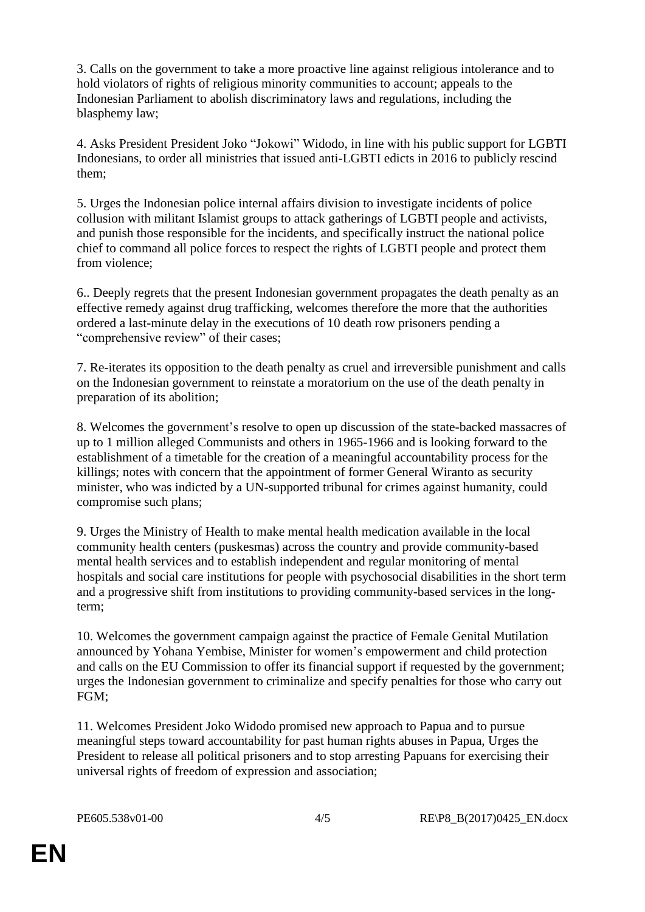3. Calls on the government to take a more proactive line against religious intolerance and to hold violators of rights of religious minority communities to account; appeals to the Indonesian Parliament to abolish discriminatory laws and regulations, including the blasphemy law;

4. Asks President President Joko "Jokowi" Widodo, in line with his public support for LGBTI Indonesians, to order all ministries that issued anti-LGBTI edicts in 2016 to publicly rescind them;

5. Urges the Indonesian police internal affairs division to investigate incidents of police collusion with militant Islamist groups to attack gatherings of LGBTI people and activists, and punish those responsible for the incidents, and specifically instruct the national police chief to command all police forces to respect the rights of LGBTI people and protect them from violence;

6.. Deeply regrets that the present Indonesian government propagates the death penalty as an effective remedy against drug trafficking, welcomes therefore the more that the authorities ordered a last-minute delay in the executions of 10 death row prisoners pending a "comprehensive review" of their cases;

7. Re-iterates its opposition to the death penalty as cruel and irreversible punishment and calls on the Indonesian government to reinstate a moratorium on the use of the death penalty in preparation of its abolition;

8. Welcomes the government's resolve to open up discussion of the state-backed massacres of up to 1 million alleged Communists and others in 1965-1966 and is looking forward to the establishment of a timetable for the creation of a meaningful accountability process for the killings; notes with concern that the appointment of former General Wiranto as security minister, who was indicted by a UN-supported tribunal for crimes against humanity, could compromise such plans;

9. Urges the Ministry of Health to make mental health medication available in the local community health centers (puskesmas) across the country and provide community-based mental health services and to establish independent and regular monitoring of mental hospitals and social care institutions for people with psychosocial disabilities in the short term and a progressive shift from institutions to providing community-based services in the longterm;

10. Welcomes the government campaign against the practice of Female Genital Mutilation announced by Yohana Yembise, Minister for women's empowerment and child protection and calls on the EU Commission to offer its financial support if requested by the government; urges the Indonesian government to criminalize and specify penalties for those who carry out FGM;

11. Welcomes President Joko Widodo promised new approach to Papua and to pursue meaningful steps toward accountability for past human rights abuses in Papua, Urges the President to release all political prisoners and to stop arresting Papuans for exercising their universal rights of freedom of expression and association;